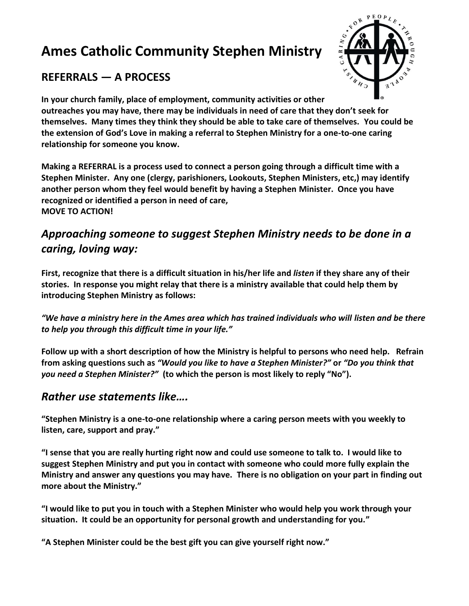# **Ames Catholic Community Stephen Ministry**

# $\mathcal{U}$

## **REFERRALS — A PROCESS**

**In your church family, place of employment, community activities or other outreaches you may have, there may be individuals in need of care that they don't seek for themselves. Many times they think they should be able to take care of themselves. You could be the extension of God's Love in making a referral to Stephen Ministry for a one-to-one caring relationship for someone you know.**

**Making a REFERRAL is a process used to connect a person going through a difficult time with a Stephen Minister. Any one (clergy, parishioners, Lookouts, Stephen Ministers, etc,) may identify another person whom they feel would benefit by having a Stephen Minister. Once you have recognized or identified a person in need of care, MOVE TO ACTION!**

# *Approaching someone to suggest Stephen Ministry needs to be done in a caring, loving way:*

**First, recognize that there is a difficult situation in his/her life and** *listen* **if they share any of their stories. In response you might relay that there is a ministry available that could help them by introducing Stephen Ministry as follows:**

*"We have a ministry here in the Ames area which has trained individuals who will listen and be there to help you through this difficult time in your life."*

**Follow up with a short description of how the Ministry is helpful to persons who need help. Refrain from asking questions such as** *"Would you like to have a Stephen Minister?"* **or** *"Do you think that you need a Stephen Minister?"* **(to which the person is most likely to reply "No").** 

### *Rather use statements like….*

**"Stephen Ministry is a one-to-one relationship where a caring person meets with you weekly to listen, care, support and pray."**

**"I sense that you are really hurting right now and could use someone to talk to. I would like to suggest Stephen Ministry and put you in contact with someone who could more fully explain the Ministry and answer any questions you may have. There is no obligation on your part in finding out more about the Ministry."**

**"I would like to put you in touch with a Stephen Minister who would help you work through your situation. It could be an opportunity for personal growth and understanding for you."**

**"A Stephen Minister could be the best gift you can give yourself right now."**